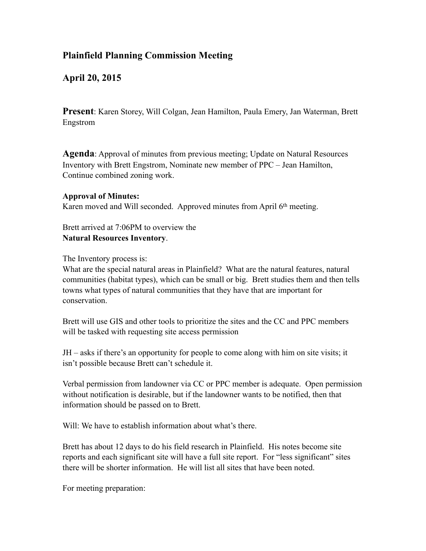## **Plainfield Planning Commission Meeting**

## **April 20, 2015**

**Present**: Karen Storey, Will Colgan, Jean Hamilton, Paula Emery, Jan Waterman, Brett Engstrom

**Agenda**: Approval of minutes from previous meeting; Update on Natural Resources Inventory with Brett Engstrom, Nominate new member of PPC – Jean Hamilton, Continue combined zoning work.

## **Approval of Minutes:**

Karen moved and Will seconded. Approved minutes from April 6<sup>th</sup> meeting.

Brett arrived at 7:06PM to overview the **Natural Resources Inventory**.

The Inventory process is:

What are the special natural areas in Plainfield? What are the natural features, natural communities (habitat types), which can be small or big. Brett studies them and then tells towns what types of natural communities that they have that are important for conservation.

Brett will use GIS and other tools to prioritize the sites and the CC and PPC members will be tasked with requesting site access permission

JH – asks if there's an opportunity for people to come along with him on site visits; it isn't possible because Brett can't schedule it.

Verbal permission from landowner via CC or PPC member is adequate. Open permission without notification is desirable, but if the landowner wants to be notified, then that information should be passed on to Brett.

Will: We have to establish information about what's there.

Brett has about 12 days to do his field research in Plainfield. His notes become site reports and each significant site will have a full site report. For "less significant" sites there will be shorter information. He will list all sites that have been noted.

For meeting preparation: